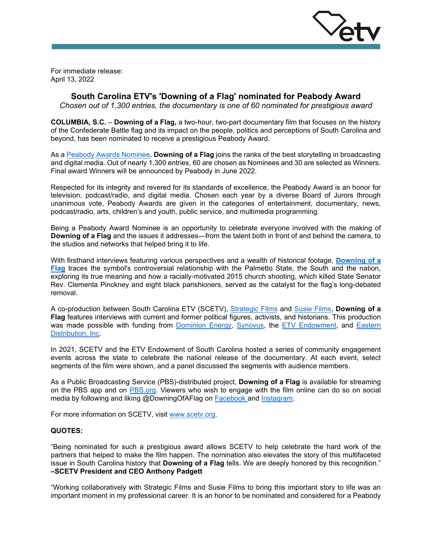

For immediate release: April 13, 2022

# **South Carolina ETV's 'Downing of a Flag' nominated for Peabody Award**

*Chosen out of 1,300 entries, the documentary is one of 60 nominated for prestigious award*

**COLUMBIA, S.C.** – **Downing of a Flag,** a two-hour, two-part documentary film that focuses on the history of the Confederate Battle flag and its impact on the people, politics and perceptions of South Carolina and beyond, has been nominated to receive a prestigious Peabody Award.

As a [Peabody Awards Nominee,](https://peabodyawards.com/stories/peabody-announces-2022-nominees/) **Downing of a Flag** joins the ranks of the best storytelling in broadcasting and digital media. Out of nearly 1,300 entries, 60 are chosen as Nominees and 30 are selected as Winners. Final award Winners will be announced by Peabody in June 2022.

Respected for its integrity and revered for its standards of excellence, the Peabody Award is an honor for television, podcast/radio, and digital media. Chosen each year by a diverse Board of Jurors through unanimous vote, Peabody Awards are given in the categories of entertainment, documentary, news, podcast/radio, arts, children's and youth, public service, and multimedia programming.

Being a Peabody Award Nominee is an opportunity to celebrate everyone involved with the making of **Downing of a Flag** and the issues it addresses—from the talent both in front of and behind the camera, to the studios and networks that helped bring it to life.

With firsthand interviews featuring various perspectives and a wealth of historical footage, **[Downing of a](https://www.scetv.org/watch/downing-flag)  [Flag](https://www.scetv.org/watch/downing-flag)** traces the symbol's controversial relationship with the Palmetto State, the South and the nation, exploring its true meaning and how a racially-motivated 2015 church shooting, which killed State Senator Rev. Clementa Pinckney and eight black parishioners, served as the catalyst for the flag's long-debated removal.

A co-production between South Carolina ETV (SCETV), [Strategic Films](https://stratfilms.com/) and [Susie Films,](http://www.susiefilms.com/) **Downing of a Flag** features interviews with current and former political figures, activists, and historians. This production was made possible with funding from **[Dominion Energy,](https://www.dominionenergy.com/) Synovus**, the [ETV Endowment,](https://www.etvendowment.org/) and Eastern [Distribution, Inc.](https://www.easterndistribution.com/)

In 2021, SCETV and the ETV Endowment of South Carolina hosted a series of community engagement events across the state to celebrate the national release of the documentary. At each event, select segments of the film were shown, and a panel discussed the segments with audience members.

As a Public Broadcasting Service (PBS)-distributed project, **Downing of a Flag** is available for streaming on the PBS app and on [PBS.org.](https://www.pbs.org/show/downing-flag/) Viewers who wish to engage with the film online can do so on social media by following and liking @DowningOfAFlag on [Facebook a](https://www.facebook.com/DowningOfAFlag/)nd [Instagram.](https://www.instagram.com/downingofaflag/)

For more information on SCETV, visit www.scetv.org.

## **QUOTES:**

"Being nominated for such a prestigious award allows SCETV to help celebrate the hard work of the partners that helped to make the film happen. The nomination also elevates the story of this multifaceted issue in South Carolina history that **Downing of a Flag** tells. We are deeply honored by this recognition." **–SCETV President and CEO Anthony Padgett**

"Working collaboratively with Strategic Films and Susie Films to bring this important story to life was an important moment in my professional career. It is an honor to be nominated and considered for a Peabody